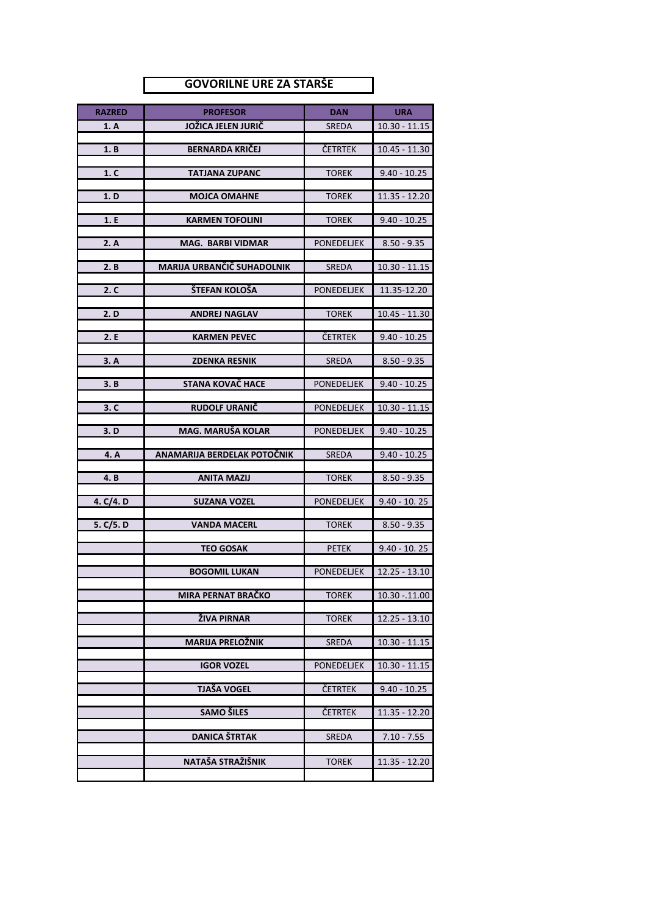## **GOVORILNE URE ZA STARŠE**

| <b>RAZRED</b> | <b>PROFESOR</b>             | <b>DAN</b>        | <b>URA</b>      |
|---------------|-----------------------------|-------------------|-----------------|
| 1. A          | JOŽICA JELEN JURIČ          | <b>SREDA</b>      | $10.30 - 11.15$ |
| 1. B          | <b>BERNARDA KRIČEJ</b>      | ČETRTEK           | $10.45 - 11.30$ |
|               |                             |                   |                 |
| 1. C          | <b>TATJANA ZUPANC</b>       | <b>TOREK</b>      | $9.40 - 10.25$  |
| 1. D          | <b>MOJCA OMAHNE</b>         | <b>TOREK</b>      | 11.35 - 12.20   |
|               |                             |                   |                 |
| 1. E          | <b>KARMEN TOFOLINI</b>      | <b>TOREK</b>      | $9.40 - 10.25$  |
| 2. A          | <b>MAG. BARBI VIDMAR</b>    | <b>PONEDELJEK</b> | $8.50 - 9.35$   |
| 2. B          | MARIJA URBANČIČ SUHADOLNIK  | <b>SREDA</b>      | $10.30 - 11.15$ |
|               |                             |                   |                 |
| 2. C          | ŠTEFAN KOLOŠA               | <b>PONEDELJEK</b> | 11.35-12.20     |
| 2. D          | <b>ANDREJ NAGLAV</b>        | <b>TOREK</b>      | $10.45 - 11.30$ |
|               |                             |                   |                 |
| 2.E           | <b>KARMEN PEVEC</b>         | ČETRTEK           | $9.40 - 10.25$  |
| 3. A          | <b>ZDENKA RESNIK</b>        | <b>SREDA</b>      | $8.50 - 9.35$   |
|               |                             |                   |                 |
| 3. B          | STANA KOVAČ HACE            | <b>PONEDELJEK</b> | $9.40 - 10.25$  |
| 3. C          | <b>RUDOLF URANIČ</b>        | <b>PONEDELJEK</b> | $10.30 - 11.15$ |
| 3. D          | MAG. MARUŠA KOLAR           | <b>PONEDELJEK</b> | $9.40 - 10.25$  |
|               |                             |                   |                 |
| 4. A          | ANAMARIJA BERDELAK POTOČNIK | <b>SREDA</b>      | $9.40 - 10.25$  |
| 4.B           | <b>ANITA MAZIJ</b>          | <b>TOREK</b>      | $8.50 - 9.35$   |
|               |                             |                   |                 |
| 4. C/4. D     | <b>SUZANA VOZEL</b>         | <b>PONEDELJEK</b> | $9.40 - 10.25$  |
| 5. C/5. D     | <b>VANDA MACERL</b>         | <b>TOREK</b>      | $8.50 - 9.35$   |
|               | <b>TEO GOSAK</b>            | <b>PETEK</b>      | $9.40 - 10.25$  |
|               |                             |                   |                 |
|               | <b>BOGOMIL LUKAN</b>        | <b>PONEDELJEK</b> | $12.25 - 13.10$ |
|               | MIRA PERNAT BRAČKO          | <b>TOREK</b>      | $10.30 - 11.00$ |
|               |                             |                   |                 |
|               | ŽIVA PIRNAR                 | <b>TOREK</b>      | $12.25 - 13.10$ |
|               | <b>MARIJA PRELOŽNIK</b>     | <b>SREDA</b>      | $10.30 - 11.15$ |
|               | <b>IGOR VOZEL</b>           | PONEDELJEK        | $10.30 - 11.15$ |
|               |                             |                   |                 |
|               | <b>TJAŠA VOGEL</b>          | ČETRTEK           | $9.40 - 10.25$  |
|               | <b>SAMO ŠILES</b>           | ČETRTEK           | $11.35 - 12.20$ |
|               |                             |                   |                 |
|               | <b>DANICA ŠTRTAK</b>        | <b>SREDA</b>      | $7.10 - 7.55$   |
|               | NATAŠA STRAŽIŠNIK           | <b>TOREK</b>      | 11.35 - 12.20   |
|               |                             |                   |                 |